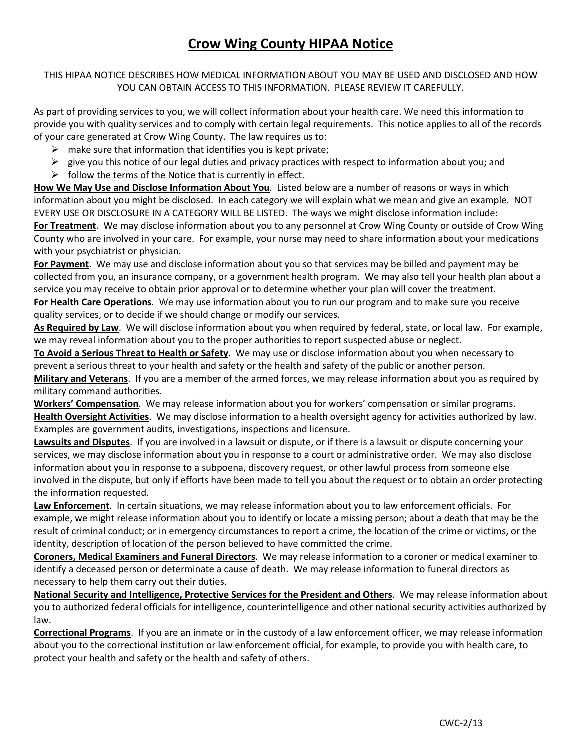# **Crow Wing County HIPAA Notice**

THIS HIPAA NOTICE DESCRIBES HOW MEDICAL INFORMATION ABOUT YOU MAY BE USED AND DISCLOSED AND HOW YOU CAN OBTAIN ACCESS TO THIS INFORMATION. PLEASE REVIEW IT CAREFULLY.

As part of providing services to you, we will collect information about your health care. We need this information to provide you with quality services and to comply with certain legal requirements. This notice applies to all of the records of your care generated at Crow Wing County. The law requires us to:

- $\triangleright$  make sure that information that identifies you is kept private;
- $\triangleright$  give you this notice of our legal duties and privacy practices with respect to information about you; and
- $\triangleright$  follow the terms of the Notice that is currently in effect.

**How We May Use and Disclose Information About You**. Listed below are a number of reasons or ways in which information about you might be disclosed. In each category we will explain what we mean and give an example. NOT EVERY USE OR DISCLOSURE IN A CATEGORY WILL BE LISTED. The ways we might disclose information include: **For Treatment**. We may disclose information about you to any personnel at Crow Wing County or outside of Crow Wing County who are involved in your care. For example, your nurse may need to share information about your medications with your psychiatrist or physician.

**For Payment**. We may use and disclose information about you so that services may be billed and payment may be collected from you, an insurance company, or a government health program. We may also tell your health plan about a service you may receive to obtain prior approval or to determine whether your plan will cover the treatment.

**For Health Care Operations**. We may use information about you to run our program and to make sure you receive quality services, or to decide if we should change or modify our services.

**As Required by Law**. We will disclose information about you when required by federal, state, or local law. For example, we may reveal information about you to the proper authorities to report suspected abuse or neglect.

**To Avoid a Serious Threat to Health or Safety**. We may use or disclose information about you when necessary to prevent a serious threat to your health and safety or the health and safety of the public or another person. **Military and Veterans**. If you are a member of the armed forces, we may release information about you as required by

military command authorities.

**Workers' Compensation**. We may release information about you for workers' compensation or similar programs. **Health Oversight Activities**. We may disclose information to a health oversight agency for activities authorized by law. Examples are government audits, investigations, inspections and licensure.

**Lawsuits and Disputes**. If you are involved in a lawsuit or dispute, or if there is a lawsuit or dispute concerning your services, we may disclose information about you in response to a court or administrative order. We may also disclose information about you in response to a subpoena, discovery request, or other lawful process from someone else involved in the dispute, but only if efforts have been made to tell you about the request or to obtain an order protecting the information requested.

**Law Enforcement**. In certain situations, we may release information about you to law enforcement officials. For example, we might release information about you to identify or locate a missing person; about a death that may be the result of criminal conduct; or in emergency circumstances to report a crime, the location of the crime or victims, or the identity, description of location of the person believed to have committed the crime.

**Coroners, Medical Examiners and Funeral Directors**. We may release information to a coroner or medical examiner to identify a deceased person or determinate a cause of death. We may release information to funeral directors as necessary to help them carry out their duties.

**National Security and Intelligence, Protective Services for the President and Others**. We may release information about you to authorized federal officials for intelligence, counterintelligence and other national security activities authorized by law.

**Correctional Programs**. If you are an inmate or in the custody of a law enforcement officer, we may release information about you to the correctional institution or law enforcement official, for example, to provide you with health care, to protect your health and safety or the health and safety of others.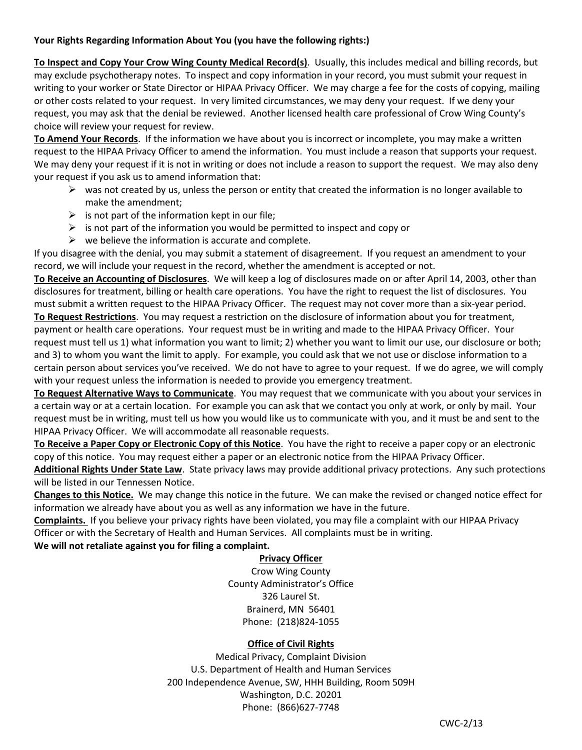### **Your Rights Regarding Information About You (you have the following rights:)**

**To Inspect and Copy Your Crow Wing County Medical Record(s)**. Usually, this includes medical and billing records, but may exclude psychotherapy notes. To inspect and copy information in your record, you must submit your request in writing to your worker or State Director or HIPAA Privacy Officer. We may charge a fee for the costs of copying, mailing or other costs related to your request. In very limited circumstances, we may deny your request. If we deny your request, you may ask that the denial be reviewed. Another licensed health care professional of Crow Wing County's choice will review your request for review.

**To Amend Your Records**. If the information we have about you is incorrect or incomplete, you may make a written request to the HIPAA Privacy Officer to amend the information. You must include a reason that supports your request. We may deny your request if it is not in writing or does not include a reason to support the request. We may also deny your request if you ask us to amend information that:

- $\triangleright$  was not created by us, unless the person or entity that created the information is no longer available to make the amendment;
- $\triangleright$  is not part of the information kept in our file;
- $\triangleright$  is not part of the information you would be permitted to inspect and copy or
- $\triangleright$  we believe the information is accurate and complete.

If you disagree with the denial, you may submit a statement of disagreement. If you request an amendment to your record, we will include your request in the record, whether the amendment is accepted or not.

**To Receive an Accounting of Disclosures**. We will keep a log of disclosures made on or after April 14, 2003, other than disclosures for treatment, billing or health care operations. You have the right to request the list of disclosures. You must submit a written request to the HIPAA Privacy Officer. The request may not cover more than a six-year period.

**To Request Restrictions**. You may request a restriction on the disclosure of information about you for treatment, payment or health care operations. Your request must be in writing and made to the HIPAA Privacy Officer. Your request must tell us 1) what information you want to limit; 2) whether you want to limit our use, our disclosure or both; and 3) to whom you want the limit to apply. For example, you could ask that we not use or disclose information to a certain person about services you've received. We do not have to agree to your request. If we do agree, we will comply with your request unless the information is needed to provide you emergency treatment.

**To Request Alternative Ways to Communicate**. You may request that we communicate with you about your services in a certain way or at a certain location. For example you can ask that we contact you only at work, or only by mail. Your request must be in writing, must tell us how you would like us to communicate with you, and it must be and sent to the HIPAA Privacy Officer. We will accommodate all reasonable requests.

**To Receive a Paper Copy or Electronic Copy of this Notice**. You have the right to receive a paper copy or an electronic copy of this notice. You may request either a paper or an electronic notice from the HIPAA Privacy Officer.

**Additional Rights Under State Law**. State privacy laws may provide additional privacy protections. Any such protections will be listed in our Tennessen Notice.

**Changes to this Notice.** We may change this notice in the future. We can make the revised or changed notice effect for information we already have about you as well as any information we have in the future.

**Complaints.** If you believe your privacy rights have been violated, you may file a complaint with our HIPAA Privacy Officer or with the Secretary of Health and Human Services. All complaints must be in writing.

**We will not retaliate against you for filing a complaint.** 

### **Privacy Officer**

Crow Wing County County Administrator's Office 326 Laurel St. Brainerd, MN 56401 Phone: (218)824-1055

### **Office of Civil Rights**

Medical Privacy, Complaint Division U.S. Department of Health and Human Services 200 Independence Avenue, SW, HHH Building, Room 509H Washington, D.C. 20201 Phone: (866)627-7748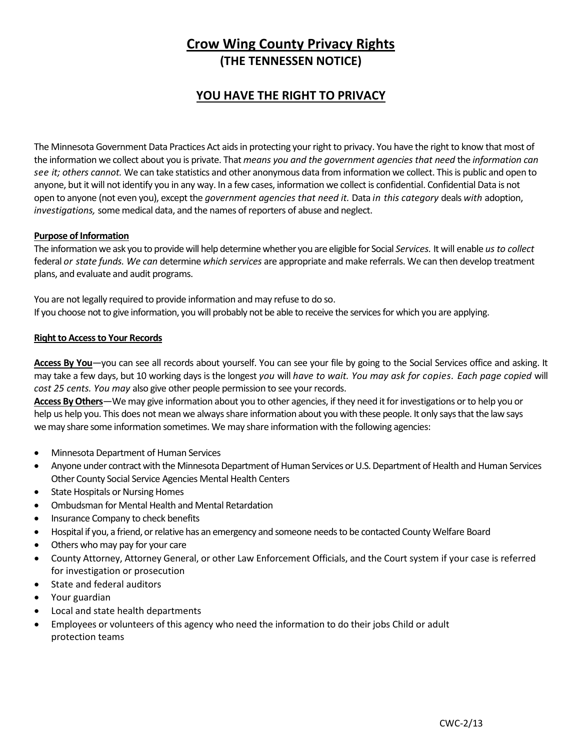# **Crow Wing County Privacy Rights (THE TENNESSEN NOTICE)**

## **YOU HAVE THE RIGHT TO PRIVACY**

The Minnesota Government Data Practices Act aids in protecting your right to privacy. You have the right to know that most of the information we collect about you is private. That *means you and the government agencies that need* the *information can see it; others cannot.* We can take statistics and other anonymous data from information we collect. This is public and open to anyone, but it will not identify you in any way. In a few cases, information we collect is confidential. Confidential Data is not open to anyone (not even you), except the *government agencies that need it.* Data *in this category* deals *with* adoption, *investigations,* some medical data, and the names of reporters of abuse and neglect.

### **Purpose of Information**

The information we ask you to provide will help determine whether you are eligible for Social *Services.* It will enable *us to collect*  federal *or state funds. We can* determine *which services* are appropriate and make referrals. We can then develop treatment plans, and evaluate and audit programs.

You are not legally required to provide information and may refuse to do so. If you choose not to give information, you will probably not be able to receive the services for which you are applying.

### **Riqht to Access to Your Records**

**Access By You**—you can see all records about yourself. You can see your file by going to the Social Services office and asking. It may take a few days, but 10 working days is the longest *you* will *have to wait. You may ask for copies. Each page copied* will *cost 25 cents. You may* also give other people permission to see your records.

**Access By Others**—We may give information about you to other agencies, if they need it for investigations or to help you or help us help you. This does not mean we always share information about you with these people. It only says that the law says we may share some information sometimes. We may share information with the following agencies:

- Minnesota Department of Human Services
- Anyone under contract with the Minnesota Department of Human Services or U.S. Department of Health and Human Services Other County Social Service Agencies Mental Health Centers
- State Hospitals or Nursing Homes
- Ombudsman for Mental Health and Mental Retardation
- Insurance Company to check benefits
- Hospital if you, a friend, or relative has an emergency and someone needs to be contacted County Welfare Board
- Others who may pay for your care
- County Attorney, Attorney General, or other Law Enforcement Officials, and the Court system if your case is referred for investigation or prosecution
- State and federal auditors
- Your guardian
- Local and state health departments
- Employees or volunteers of this agency who need the information to do their jobs Child or adult protection teams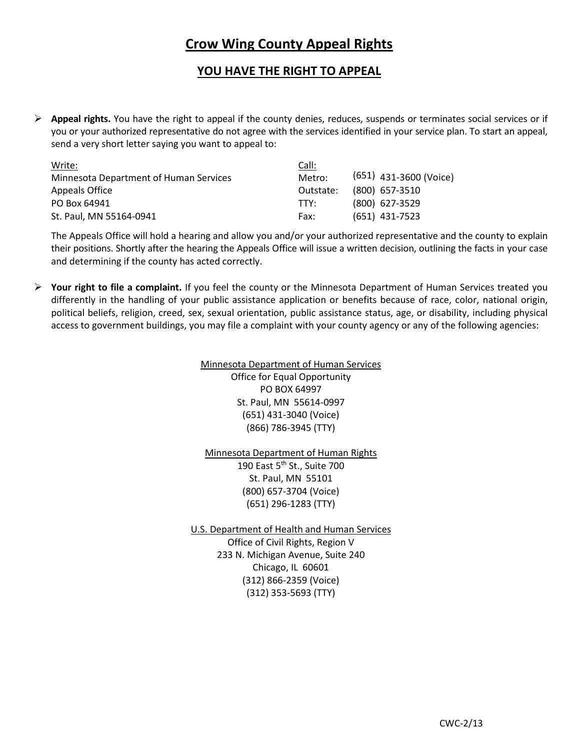# **Crow Wing County Appeal Rights**

## **YOU HAVE THE RIGHT TO APPEAL**

 **Appeal rights.** You have the right to appeal if the county denies, reduces, suspends or terminates social services or if you or your authorized representative do not agree with the services identified in your service plan. To start an appeal, send a very short letter saying you want to appeal to:

| Write:                                 | Call:     |                          |
|----------------------------------------|-----------|--------------------------|
| Minnesota Department of Human Services | Metro:    | $(651)$ 431-3600 (Voice) |
| Appeals Office                         | Outstate: | $(800)$ 657-3510         |
| PO Box 64941                           | TTY:      | (800) 627-3529           |
| St. Paul, MN 55164-0941                | Fax:      | $(651)$ 431-7523         |

The Appeals Office will hold a hearing and allow you and/or your authorized representative and the county to explain their positions. Shortly after the hearing the Appeals Office will issue a written decision, outlining the facts in your case and determining if the county has acted correctly.

 **Your right to file a complaint.** If you feel the county or the Minnesota Department of Human Services treated you differently in the handling of your public assistance application or benefits because of race, color, national origin, political beliefs, religion, creed, sex, sexual orientation, public assistance status, age, or disability, including physical access to government buildings, you may file a complaint with your county agency or any of the following agencies:

### Minnesota Department of Human Services Office for Equal Opportunity PO BOX 64997 St. Paul, MN 55614-0997 (651) 431-3040 (Voice) (866) 786-3945 (TTY)

Minnesota Department of Human Rights 190 East 5<sup>th</sup> St., Suite 700 St. Paul, MN 55101 (800) 657-3704 (Voice) (651) 296-1283 (TTY)

U.S. Department of Health and Human Services Office of Civil Rights, Region V 233 N. Michigan Avenue, Suite 240 Chicago, IL 60601 (312) 866-2359 (Voice) (312) 353-5693 (TTY)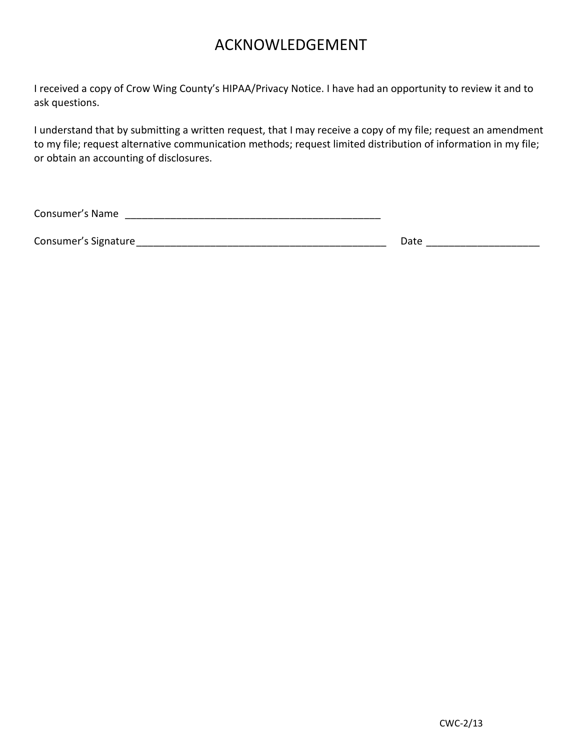# ACKNOWLEDGEMENT

I received a copy of Crow Wing County's HIPAA/Privacy Notice. I have had an opportunity to review it and to ask questions.

I understand that by submitting a written request, that I may receive a copy of my file; request an amendment to my file; request alternative communication methods; request limited distribution of information in my file; or obtain an accounting of disclosures.

Consumer's Name **consumer's Name** 

Consumer's Signature\_\_\_\_\_\_\_\_\_\_\_\_\_\_\_\_\_\_\_\_\_\_\_\_\_\_\_\_\_\_\_\_\_\_\_\_\_\_\_\_\_\_\_\_ Date \_\_\_\_\_\_\_\_\_\_\_\_\_\_\_\_\_\_\_\_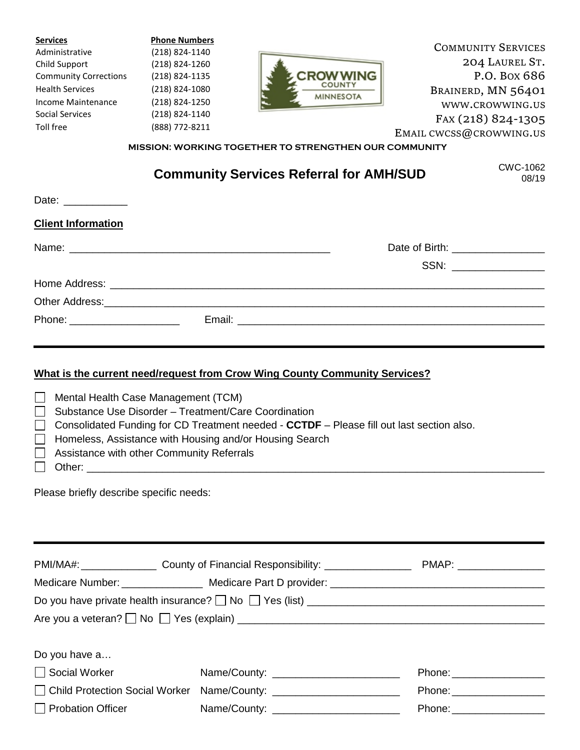| <b>Services</b>              | <b>Phone Numbers</b> |                                   |                           |
|------------------------------|----------------------|-----------------------------------|---------------------------|
| Administrative               | (218) 824-1140       |                                   | <b>COMMUNITY SERVICES</b> |
| Child Support                | (218) 824-1260       |                                   | 204 LAUREL ST.            |
| <b>Community Corrections</b> | (218) 824-1135       | <b>CROW WING</b>                  | P.O. Box 686              |
| <b>Health Services</b>       | (218) 824-1080       | <b>COUNTY</b><br><b>MINNESOTA</b> | BRAINERD, MN 56401        |
| Income Maintenance           | (218) 824-1250       |                                   | WWW.CROWWING.US           |
| Social Services              | (218) 824-1140       |                                   | FAX (218) 824-1305        |
| Toll free                    | (888) 772-8211       |                                   | EMAIL CWCSS@CROWWING.US   |
|                              |                      |                                   |                           |

**MISSION: WORKING TOGETHER TO STRENGTHEN OUR COMMUNITY**

# **Community Services Referral for AMH/SUD**

CWC-1062 08/19

| Date: ____________             |                                   |  |
|--------------------------------|-----------------------------------|--|
| <b>Client Information</b>      |                                   |  |
|                                | Date of Birth: __________________ |  |
|                                | SSN: __________________           |  |
|                                |                                   |  |
|                                |                                   |  |
| Phone: _______________________ |                                   |  |

## **What is the current need/request from Crow Wing County Community Services?**

| $\mathbb{R}^n$ | Mental Health Case Management (TCM)                                                              |
|----------------|--------------------------------------------------------------------------------------------------|
|                | $\Box$ Substance Use Disorder - Treatment/Care Coordination                                      |
|                | $\Box$ Consolidated Funding for CD Treatment needed - CCTDF – Please fill out last section also. |
|                | Homeless, Assistance with Housing and/or Housing Search                                          |
|                | $\Box$ Assistance with other Community Referrals                                                 |
|                | Other:                                                                                           |

Please briefly describe specific needs:

|                             | PMI/MA#: _____________________ County of Financial Responsibility: ______________ | PMAP: __________________  |
|-----------------------------|-----------------------------------------------------------------------------------|---------------------------|
|                             |                                                                                   |                           |
|                             |                                                                                   |                           |
|                             |                                                                                   |                           |
|                             |                                                                                   |                           |
| Do you have a               |                                                                                   |                           |
| Social Worker Social Mullet |                                                                                   |                           |
|                             |                                                                                   | Phone: __________________ |
| $\Box$ Probation Officer    |                                                                                   |                           |
|                             |                                                                                   |                           |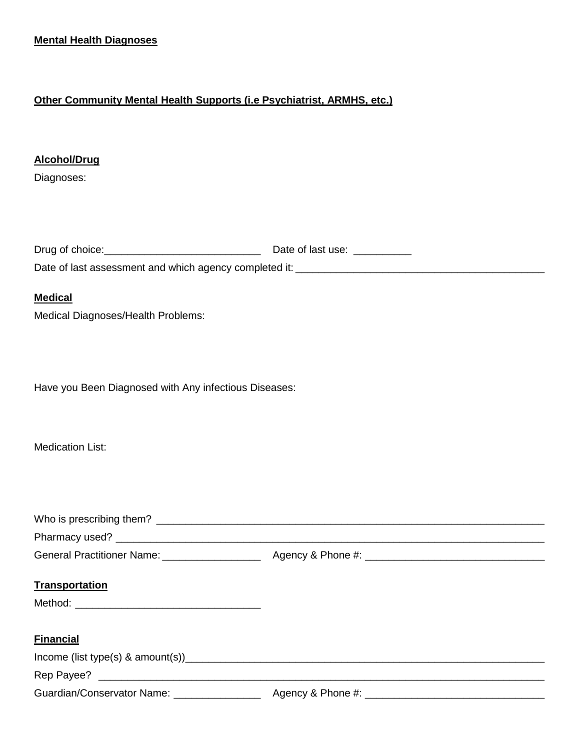## **Other Community Mental Health Supports (i.e Psychiatrist, ARMHS, etc.)**

## **Alcohol/Drug**

Diagnoses:

| Drug of choice:                                        | Date of last use: |
|--------------------------------------------------------|-------------------|
| Date of last assessment and which agency completed it: |                   |

### **Medical**

Medical Diagnoses/Health Problems:

Have you Been Diagnosed with Any infectious Diseases:

Medication List:

| <b>Transportation</b> |  |
|-----------------------|--|
|                       |  |
| <b>Financial</b>      |  |
|                       |  |
|                       |  |
|                       |  |
|                       |  |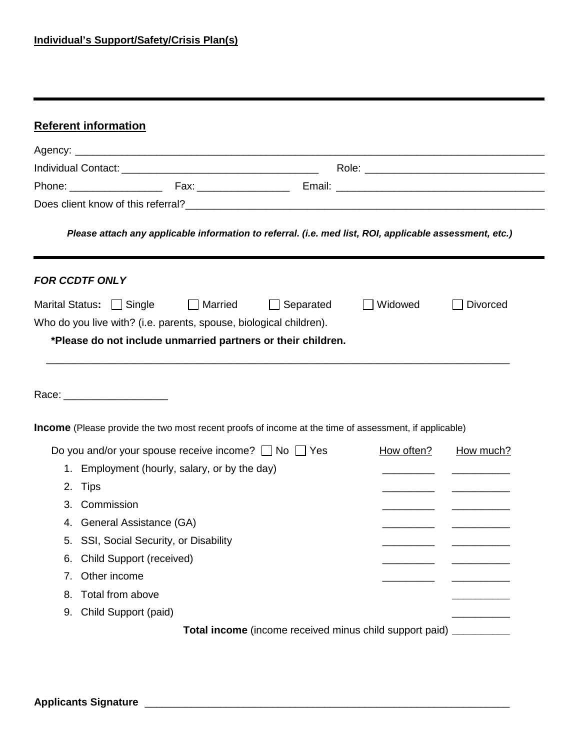|    | Please attach any applicable information to referral. (i.e. med list, ROI, applicable assessment, etc.)         |            |                 |
|----|-----------------------------------------------------------------------------------------------------------------|------------|-----------------|
|    | <b>FOR CCDTF ONLY</b>                                                                                           |            |                 |
|    | Marital Status: Single<br><b>Married</b><br>$\Box$ Separated                                                    | Widowed    | <b>Divorced</b> |
|    | Who do you live with? (i.e. parents, spouse, biological children).                                              |            |                 |
|    | *Please do not include unmarried partners or their children.                                                    |            |                 |
|    |                                                                                                                 |            |                 |
|    | Race: _________________________                                                                                 |            |                 |
|    | Income (Please provide the two most recent proofs of income at the time of assessment, if applicable)           | How often? |                 |
|    | Do you and/or your spouse receive income? $\Box$ No $\Box$ Yes<br>1. Employment (hourly, salary, or by the day) |            | How much?       |
|    | 2. Tips                                                                                                         |            |                 |
| 3. | Commission                                                                                                      |            |                 |
|    | 4. General Assistance (GA)                                                                                      |            |                 |
| 5. | SSI, Social Security, or Disability                                                                             |            |                 |
| 6. | <b>Child Support (received)</b>                                                                                 |            |                 |
| 7. | Other income                                                                                                    |            |                 |
| 8. | Total from above                                                                                                |            |                 |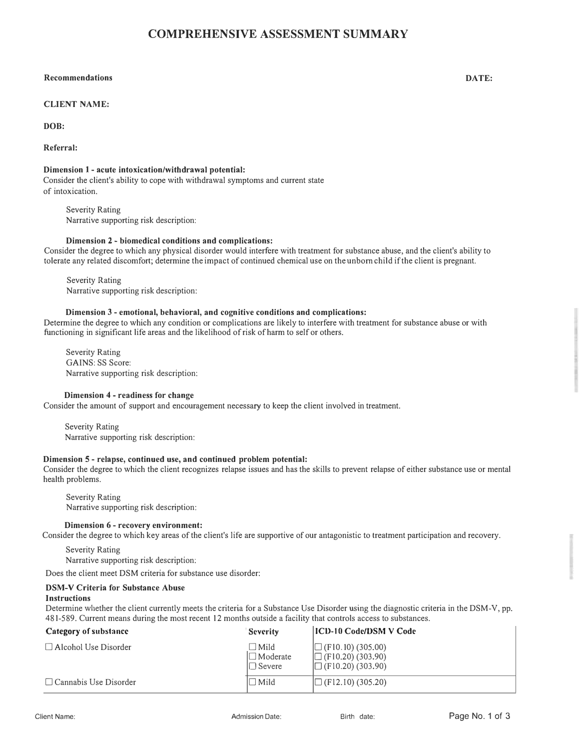## **COMPREHENSIVE ASSESSMENT SUMMARY**

#### **Recommendations DATE:**

### **CLIENT NAME:**

**DOB:**

**Referral:**

### **Dimension 1 - acute intoxication/withdrawal potential:**

Consider the client's ability to cope with withdrawal symptoms and current state of intoxication.

Severity Rating Narrative supporting risk description:

### **Dimension 2 - biomedical conditions and complications:**

Consider the degree to which any physical disorder would interfere with treatment for substance abuse, and the client's ability to tolerate any related discomfort; determine the impact of continued chemical use on the unborn child ifthe client is pregnant.

Severity Rating Narrative supporting risk description:

#### **Dimension 3 - emotional, behavioral, and cognitive conditions and complications:**

Determine the degree to which any condition or complications are likely to interfere with treatment for substance abuse or with functioning in significant life areas and the likelihood of risk of harm to self or others.

Severity Rating GAINS: SS Score: Narrative supporting risk description:

#### **Dimension 4 - readiness for change**

Consider the amount of support and encouragement necessary to keep the client involved in treatment.

Severity Rating Narrative supporting risk description:

### **Dimension 5 - relapse, continued use, and continued problem potential:**

Consider the degree to which the client recognizes relapse issues and has the skills to prevent relapse of either substance use or mental health problems.

Severity Rating Narrative supporting risk description:

#### **Dimension 6 - recovery environment:**

Consider the degree to which key areas of the client's life are supportive of our antagonistic to treatment participation and recovery.

Severity Rating Narrative supporting risk description:

Does the client meet DSM criteria for substance use disorder:

#### **DSM-V Criteria for Substance Abuse**

#### **Instructions**

Determine whether the client currently meets the criteria for a Substance Use Disorder using the diagnostic criteria in the DSM-V, pp. 481-589. Current means during the most recent 12 months outside a facility that controls access to substances.

| Category of substance        | <b>Severity</b>                                    | <b>ICD-10 Code/DSM V Code</b>                                                    |
|------------------------------|----------------------------------------------------|----------------------------------------------------------------------------------|
| $\Box$ Alcohol Use Disorder  | $\Box$ Mild<br>$\square$ Moderate<br>$\Box$ Severe | $\Box$ (F10.10) (305.00)<br>$\Box$ (F10.20) (303.90)<br>$\Box$ (F10.20) (303.90) |
| $\Box$ Cannabis Use Disorder | $\Box$ Mild                                        | $\Box$ (F12.10) (305.20)                                                         |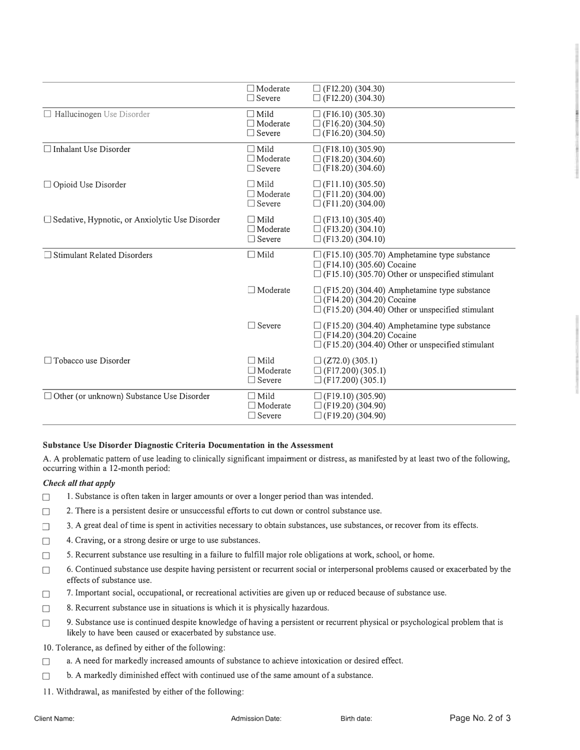|                                                       | $\Box$ Moderate<br>$\Box$ Severe                | $\Box$ (F12.20) (304.30)<br>$\Box$ (F12.20) (304.30)                                                                                               |
|-------------------------------------------------------|-------------------------------------------------|----------------------------------------------------------------------------------------------------------------------------------------------------|
| $\Box$ Hallucinogen Use Disorder                      | $\Box$ Mild<br>$\Box$ Moderate<br>$\Box$ Severe | $\Box$ (F16.10) (305.30)<br>$\Box$ (F16.20) (304.50)<br>$\Box$ (F16.20) (304.50)                                                                   |
| $\Box$ Inhalant Use Disorder                          | $\Box$ Mild<br>$\Box$ Moderate<br>$\Box$ Severe | $\Box$ (F18.10) (305.90)<br>$\Box$ (F18.20) (304.60)<br>$\Box$ (F18.20) (304.60)                                                                   |
| $\Box$ Opioid Use Disorder                            | $\Box$ Mild<br>$\Box$ Moderate<br>$\Box$ Severe | $\Box$ (F11.10) (305.50)<br>$\Box$ (F11.20) (304.00)<br>$\Box$ (F11.20) (304.00)                                                                   |
| $\Box$ Sedative, Hypnotic, or Anxiolytic Use Disorder | $\Box$ Mild<br>$\Box$ Moderate<br>$\Box$ Severe | $\Box$ (F13.10) (305.40)<br>$\Box$ (F13.20) (304.10)<br>$\Box$ (F13.20) (304.10)                                                                   |
| $\Box$ Stimulant Related Disorders                    | $\Box$ Mild                                     | $\Box$ (F15.10) (305.70) Amphetamine type substance<br>$\Box$ (F14.10) (305.60) Cocaine<br>$\Box$ (F15.10) (305.70) Other or unspecified stimulant |
|                                                       | $\Box$ Moderate                                 | $\Box$ (F15.20) (304.40) Amphetamine type substance<br>$\Box$ (F14.20) (304.20) Cocaine<br>$\Box$ (F15.20) (304.40) Other or unspecified stimulant |
|                                                       | $\Box$ Severe                                   | $\Box$ (F15.20) (304.40) Amphetamine type substance<br>$\Box$ (F14.20) (304.20) Cocaine<br>$\Box$ (F15.20) (304.40) Other or unspecified stimulant |
| $\Box$ Tobacco use Disorder                           | $\Box$ Mild<br>$\Box$ Moderate<br>$\Box$ Severe | $\Box$ (Z72.0) (305.1)<br>$\Box$ (F17.200) (305.1)<br>$\Box$ (F17.200) (305.1)                                                                     |
| $\Box$ Other (or unknown) Substance Use Disorder      | $\Box$ Mild<br>$\Box$ Moderate<br>$\Box$ Severe | $\Box$ (F19.10) (305.90)<br>$\Box$ (F19.20) (304.90)<br>$\Box$ (F19.20) (304.90)                                                                   |

#### **Substance Use Disorder Diagnostic Criteria Documentation in the Assessment**

A. A problematic pattern of use leading to clinically significant impairment or distress, as manifested by at least two of the following, occurring within a 12-month period:

### *Check all that apply*

- $\Box$  1. Substance is often taken in larger amounts or over a longer period than was intended.
- $\Box$  2. There is a persistent desire or unsuccessful efforts to cut down or control substance use.
- 3. A great deal of time is spent in activities necessary to obtain substances, use substances, or recover from its effects.
- □ 4. Craving, or a strong desire or urge to use substances.
- $\Box$  5. Recurrent substance use resulting in a failure to fulfill major role obligations at work, school, or home.
- $\Box$  6. Continued substance use despite having persistent or recurrent social or interpersonal problems caused or exacerbated by the effects of substance use.
- $\Box$  7. Important social, occupational, or recreational activities are given up or reduced because of substance use.
- □ 8. Recurrent substance use in situations is which it is physically hazardous.
- 9. Substance use is continued despite knowledge of having a persistent or recurrent physical or psychological problem that is likely to have been caused or exacerbated by substance use.
- 10. Tolerance, as defined by either of the following:
- D a. A need for markedly increased amounts of substance to achieve intoxication or desired effect.
- $\Box$  b. A markedly diminished effect with continued use of the same amount of a substance.
- 11. Withdrawal, as manifested by either of the following: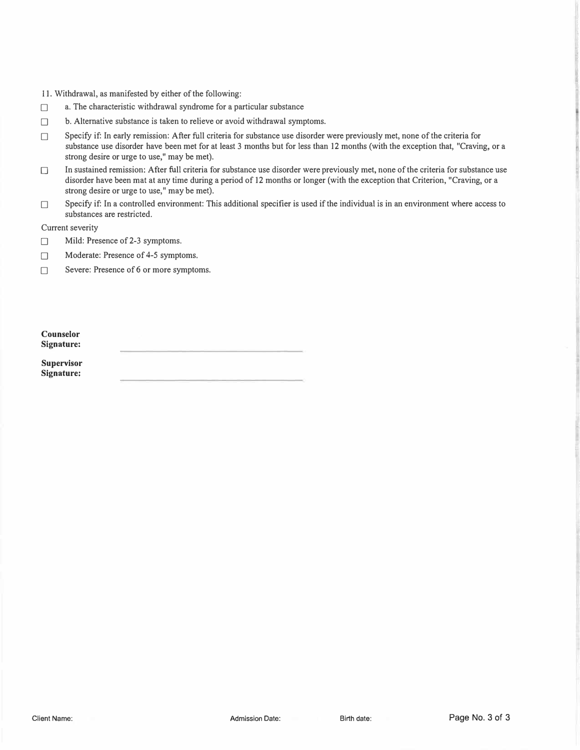- 11. Withdrawal, as manifested by either of the following:
- $\Box$  a. The characteristic withdrawal syndrome for a particular substance
- □ b. Alternative substance is taken to relieve or avoid withdrawal symptoms.
- □ Specify if: In early remission: After full criteria for substance use disorder were previously met, none of the criteria for substance use disorder have been met for at least 3 months but for less than 12 months (with the exception that, "Craving, or a strong desire or urge to use," may be met).
- D In sustained remission: After full criteria for substance use disorder were previously met, none of the criteria for substance use disorder have been mat at any time during a period of 12 months or longer (with the exception that Criterion, "Craving, or a strong desire or urge to use," may be met).
- $\Box$  Specify if: In a controlled environment: This additional specifier is used if the individual is in an environment where access to substances are restricted.

Current severity

- $\Box$  Mild: Presence of 2-3 symptoms.
- Moderate: Presence of 4-5 symptoms.

□ Severe: Presence of 6 or more symptoms.

| Counselor  |  |  |
|------------|--|--|
| Signature: |  |  |

**Supervisor Signature:**